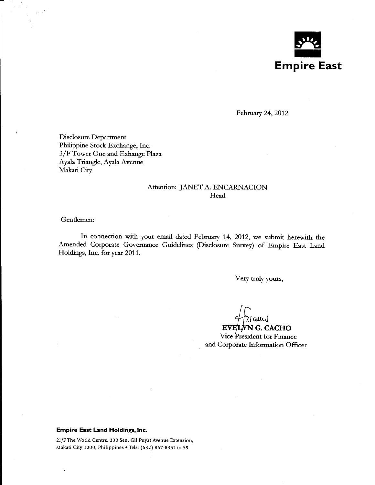

February 24, 2012

Disclosure Department Philippine Stock Exchange, Inc. 3 /F Tower One and Exhange Plaza Ayala Triangle, Ayala Avenue Makati City

# Attention: JANET A. ENCARNACION Head

### Gendemen:

In connection with your email dated February 14, 2012, we submit herewith the Amended Corporate Governance Guidelines (Disclosure Survey) of Empire East Land Holdings, Inc. for year 2011.

Very truly yours,

 $\begin{array}{c}\n\downarrow\downarrow\text{G} \text{CACHO} \\
\text{Every NN G. CACHO} \\
\text{Vice President for Finance}\n\end{array}$ and Corporate Information Officer

#### **Empire East Land Holdings, Inc.**

21/F The World Centre, 330 Sen. Gil Puyat Avenue Extension, Makati City 1200, Philippines • Tels: (632) 867-8351 to 59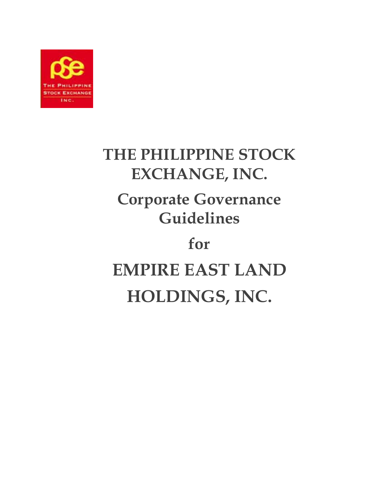

# **THE PHILIPPINE STOCK EXCHANGE, INC. Corporate Governance Guidelines for EMPIRE EAST LAND HOLDINGS, INC.**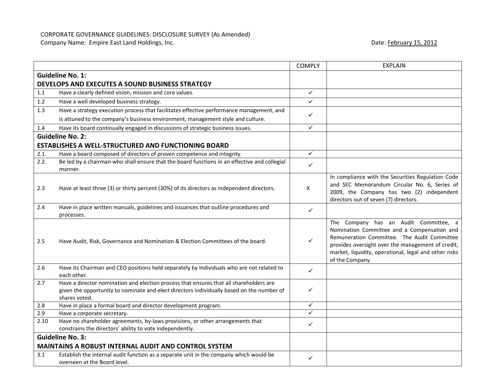## CORPORATE GOVERNANCE GUIDELINES: DISCLOSURE SURVEY (As Amended)

Company Name: Empire East Land Holdings, Inc. **Date: February 15, 2012** Date: February 15, 2012

|      |                                                                                                                                                                                                      | <b>COMPLY</b> | <b>EXPLAIN</b>                                                                                                                                                                                                                                                       |
|------|------------------------------------------------------------------------------------------------------------------------------------------------------------------------------------------------------|---------------|----------------------------------------------------------------------------------------------------------------------------------------------------------------------------------------------------------------------------------------------------------------------|
|      | <b>Guideline No. 1:</b>                                                                                                                                                                              |               |                                                                                                                                                                                                                                                                      |
|      | DEVELOPS AND EXECUTES A SOUND BUSINESS STRATEGY                                                                                                                                                      |               |                                                                                                                                                                                                                                                                      |
| 1.1  | Have a clearly defined vision, mission and core values.                                                                                                                                              | $\checkmark$  |                                                                                                                                                                                                                                                                      |
| 1.2  | Have a well developed business strategy.                                                                                                                                                             | ✓             |                                                                                                                                                                                                                                                                      |
| 1.3  | Have a strategy execution process that facilitates effective performance management, and                                                                                                             |               |                                                                                                                                                                                                                                                                      |
|      | is attuned to the company's business environment, management style and culture.                                                                                                                      | ✓             |                                                                                                                                                                                                                                                                      |
| 1.4  | Have its board continually engaged in discussions of strategic business issues.                                                                                                                      | ✓             |                                                                                                                                                                                                                                                                      |
|      | <b>Guideline No. 2:</b>                                                                                                                                                                              |               |                                                                                                                                                                                                                                                                      |
|      | ESTABLISHES A WELL-STRUCTURED AND FUNCTIONING BOARD                                                                                                                                                  |               |                                                                                                                                                                                                                                                                      |
| 2.1. | Have a board composed of directors of proven competence and integrity.                                                                                                                               | $\checkmark$  |                                                                                                                                                                                                                                                                      |
| 2.2. | Be led by a chairman who shall ensure that the board functions in an effective and collegial                                                                                                         |               |                                                                                                                                                                                                                                                                      |
|      | manner.                                                                                                                                                                                              | $\checkmark$  |                                                                                                                                                                                                                                                                      |
| 2.3  | Have at least three (3) or thirty percent (30%) of its directors as independent directors.                                                                                                           | X             | In compliance with the Securities Regulation Code<br>and SEC Memorandum Circular No. 6, Series of<br>2009, the Company has two (2) independent<br>directors out of seven (7) directors.                                                                              |
| 2.4  | Have in place written manuals, guidelines and issuances that outline procedures and                                                                                                                  | $\checkmark$  |                                                                                                                                                                                                                                                                      |
|      | processes.                                                                                                                                                                                           |               |                                                                                                                                                                                                                                                                      |
| 2.5  | Have Audit, Risk, Governance and Nomination & Election Committees of the board.                                                                                                                      | ✓             | The Company has an Audit Committee, a<br>Nomination Committee and a Compensation and<br>Remuneration Committee. The Audit Committee<br>provides oversight over the management of credit,<br>market, liquidity, operational, legal and other risks<br>of the Company. |
| 2.6  | Have its Chairman and CEO positions held separately by individuals who are not related to<br>each other.                                                                                             | $\checkmark$  |                                                                                                                                                                                                                                                                      |
| 2.7  | Have a director nomination and election process that ensures that all shareholders are<br>given the opportunity to nominate and elect directors individually based on the number of<br>shares voted. | ✓             |                                                                                                                                                                                                                                                                      |
| 2.8  | Have in place a formal board and director development program.                                                                                                                                       | ✓             |                                                                                                                                                                                                                                                                      |
| 2.9  | Have a corporate secretary.                                                                                                                                                                          | $\checkmark$  |                                                                                                                                                                                                                                                                      |
| 2.10 | Have no shareholder agreements, by-laws provisions, or other arrangements that<br>constrains the directors' ability to vote independently.                                                           | ✓             |                                                                                                                                                                                                                                                                      |
|      | <b>Guideline No. 3:</b>                                                                                                                                                                              |               |                                                                                                                                                                                                                                                                      |
|      | <b>MAINTAINS A ROBUST INTERNAL AUDIT AND CONTROL SYSTEM</b>                                                                                                                                          |               |                                                                                                                                                                                                                                                                      |
| 3.1  | Establish the internal audit function as a separate unit in the company which would be<br>overseen at the Board level.                                                                               | ✓             |                                                                                                                                                                                                                                                                      |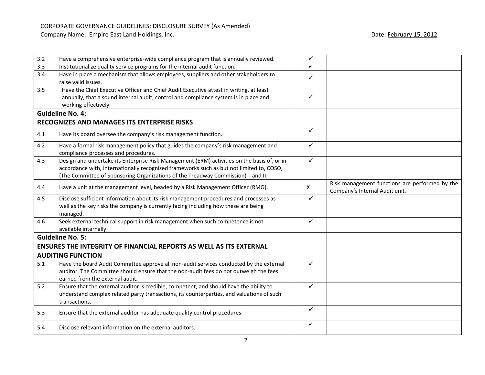| 3.2 | Have a comprehensive enterprise-wide compliance program that is annually reviewed.                                                                                                                                                                                          | $\checkmark$ |                                                                                  |
|-----|-----------------------------------------------------------------------------------------------------------------------------------------------------------------------------------------------------------------------------------------------------------------------------|--------------|----------------------------------------------------------------------------------|
| 3.3 | Institutionalize quality service programs for the internal audit function.                                                                                                                                                                                                  | ✓            |                                                                                  |
| 3.4 | Have in place a mechanism that allows employees, suppliers and other stakeholders to<br>raise valid issues.                                                                                                                                                                 | $\checkmark$ |                                                                                  |
| 3.5 | Have the Chief Executive Officer and Chief Audit Executive attest in writing, at least<br>annually, that a sound internal audit, control and compliance system is in place and<br>working effectively.                                                                      | $\checkmark$ |                                                                                  |
|     | <b>Guideline No. 4:</b>                                                                                                                                                                                                                                                     |              |                                                                                  |
|     | RECOGNIZES AND MANAGES ITS ENTERPRISE RISKS                                                                                                                                                                                                                                 |              |                                                                                  |
| 4.1 | Have its board oversee the company's risk management function.                                                                                                                                                                                                              | $\checkmark$ |                                                                                  |
| 4.2 | Have a formal risk management policy that guides the company's risk management and<br>compliance processes and procedures.                                                                                                                                                  | $\checkmark$ |                                                                                  |
| 4.3 | Design and undertake its Enterprise Risk Management (ERM) activities on the basis of, or in<br>accordance with, internationally recognized frameworks such as but not limited to, COSO,<br>(The Committee of Sponsoring Organizations of the Treadway Commission) I and II. | $\checkmark$ |                                                                                  |
| 4.4 | Have a unit at the management level, headed by a Risk Management Officer (RMO).                                                                                                                                                                                             | X            | Risk management functions are performed by the<br>Company's Internal Audit unit. |
| 4.5 | Disclose sufficient information about its risk management procedures and processes as<br>well as the key risks the company is currently facing including how these are being<br>managed.                                                                                    | $\checkmark$ |                                                                                  |
| 4.6 | Seek external technical support in risk management when such competence is not<br>available internally.                                                                                                                                                                     | $\checkmark$ |                                                                                  |
|     | <b>Guideline No. 5:</b>                                                                                                                                                                                                                                                     |              |                                                                                  |
|     | <b>ENSURES THE INTEGRITY OF FINANCIAL REPORTS AS WELL AS ITS EXTERNAL</b>                                                                                                                                                                                                   |              |                                                                                  |
|     | <b>AUDITING FUNCTION</b>                                                                                                                                                                                                                                                    |              |                                                                                  |
| 5.1 | Have the board Audit Committee approve all non-audit services conducted by the external<br>auditor. The Committee should ensure that the non-audit fees do not outweigh the fees<br>earned from the external audit.                                                         | $\checkmark$ |                                                                                  |
| 5.2 | Ensure that the external auditor is credible, competent, and should have the ability to<br>understand complex related party transactions, its counterparties, and valuations of such<br>transactions.                                                                       | $\checkmark$ |                                                                                  |
| 5.3 | Ensure that the external auditor has adequate quality control procedures.                                                                                                                                                                                                   | $\checkmark$ |                                                                                  |
| 5.4 | Disclose relevant information on the external auditors.                                                                                                                                                                                                                     | ✓            |                                                                                  |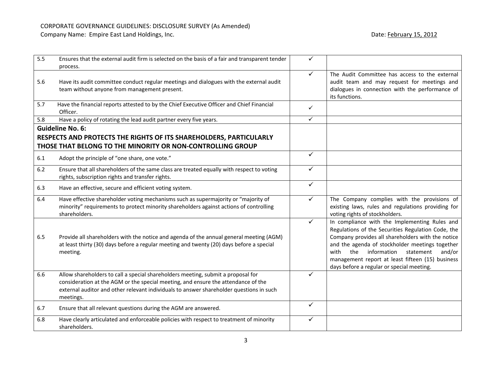| 5.5 | Ensures that the external audit firm is selected on the basis of a fair and transparent tender<br>process.                                                                                                                                                                    | ✓            |                                                                                                                                                                                                                                                                                                                                                                   |
|-----|-------------------------------------------------------------------------------------------------------------------------------------------------------------------------------------------------------------------------------------------------------------------------------|--------------|-------------------------------------------------------------------------------------------------------------------------------------------------------------------------------------------------------------------------------------------------------------------------------------------------------------------------------------------------------------------|
| 5.6 | Have its audit committee conduct regular meetings and dialogues with the external audit<br>team without anyone from management present.                                                                                                                                       | $\checkmark$ | The Audit Committee has access to the external<br>audit team and may request for meetings and<br>dialogues in connection with the performance of<br>its functions.                                                                                                                                                                                                |
| 5.7 | Have the financial reports attested to by the Chief Executive Officer and Chief Financial<br>Officer.                                                                                                                                                                         | $\checkmark$ |                                                                                                                                                                                                                                                                                                                                                                   |
| 5.8 | Have a policy of rotating the lead audit partner every five years.                                                                                                                                                                                                            | $\checkmark$ |                                                                                                                                                                                                                                                                                                                                                                   |
|     | <b>Guideline No. 6:</b>                                                                                                                                                                                                                                                       |              |                                                                                                                                                                                                                                                                                                                                                                   |
|     | RESPECTS AND PROTECTS THE RIGHTS OF ITS SHAREHOLDERS, PARTICULARLY                                                                                                                                                                                                            |              |                                                                                                                                                                                                                                                                                                                                                                   |
|     | THOSE THAT BELONG TO THE MINORITY OR NON-CONTROLLING GROUP                                                                                                                                                                                                                    |              |                                                                                                                                                                                                                                                                                                                                                                   |
| 6.1 | Adopt the principle of "one share, one vote."                                                                                                                                                                                                                                 | $\checkmark$ |                                                                                                                                                                                                                                                                                                                                                                   |
| 6.2 | Ensure that all shareholders of the same class are treated equally with respect to voting<br>rights, subscription rights and transfer rights.                                                                                                                                 | $\checkmark$ |                                                                                                                                                                                                                                                                                                                                                                   |
| 6.3 | Have an effective, secure and efficient voting system.                                                                                                                                                                                                                        | $\checkmark$ |                                                                                                                                                                                                                                                                                                                                                                   |
| 6.4 | Have effective shareholder voting mechanisms such as supermajority or "majority of<br>minority" requirements to protect minority shareholders against actions of controlling<br>shareholders.                                                                                 | $\checkmark$ | The Company complies with the provisions of<br>existing laws, rules and regulations providing for<br>voting rights of stockholders.                                                                                                                                                                                                                               |
| 6.5 | Provide all shareholders with the notice and agenda of the annual general meeting (AGM)<br>at least thirty (30) days before a regular meeting and twenty (20) days before a special<br>meeting.                                                                               | $\checkmark$ | In compliance with the Implementing Rules and<br>Regulations of the Securities Regulation Code, the<br>Company provides all shareholders with the notice<br>and the agenda of stockholder meetings together<br>information<br>with<br>the<br>statement<br>and/or<br>management report at least fifteen (15) business<br>days before a regular or special meeting. |
| 6.6 | Allow shareholders to call a special shareholders meeting, submit a proposal for<br>consideration at the AGM or the special meeting, and ensure the attendance of the<br>external auditor and other relevant individuals to answer shareholder questions in such<br>meetings. | ✓            |                                                                                                                                                                                                                                                                                                                                                                   |
| 6.7 | Ensure that all relevant questions during the AGM are answered.                                                                                                                                                                                                               | $\checkmark$ |                                                                                                                                                                                                                                                                                                                                                                   |
| 6.8 | Have clearly articulated and enforceable policies with respect to treatment of minority<br>shareholders.                                                                                                                                                                      | ✓            |                                                                                                                                                                                                                                                                                                                                                                   |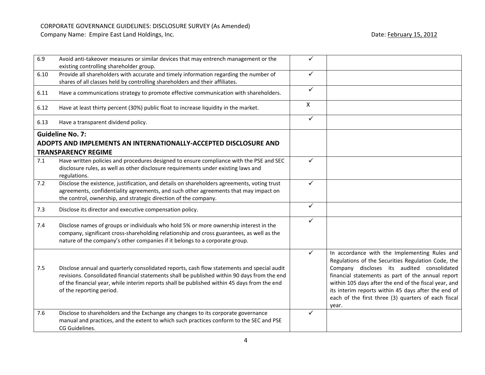| 6.9  | Avoid anti-takeover measures or similar devices that may entrench management or the<br>existing controlling shareholder group.                                                                                                                                                                                       | ✓            |                                                                                                                                                                                                                                                                                                                                                                                        |
|------|----------------------------------------------------------------------------------------------------------------------------------------------------------------------------------------------------------------------------------------------------------------------------------------------------------------------|--------------|----------------------------------------------------------------------------------------------------------------------------------------------------------------------------------------------------------------------------------------------------------------------------------------------------------------------------------------------------------------------------------------|
| 6.10 | Provide all shareholders with accurate and timely information regarding the number of<br>shares of all classes held by controlling shareholders and their affiliates.                                                                                                                                                | $\checkmark$ |                                                                                                                                                                                                                                                                                                                                                                                        |
| 6.11 | Have a communications strategy to promote effective communication with shareholders.                                                                                                                                                                                                                                 | $\checkmark$ |                                                                                                                                                                                                                                                                                                                                                                                        |
| 6.12 | Have at least thirty percent (30%) public float to increase liquidity in the market.                                                                                                                                                                                                                                 | $\mathsf{X}$ |                                                                                                                                                                                                                                                                                                                                                                                        |
| 6.13 | Have a transparent dividend policy.                                                                                                                                                                                                                                                                                  | $\checkmark$ |                                                                                                                                                                                                                                                                                                                                                                                        |
|      | <b>Guideline No. 7:</b>                                                                                                                                                                                                                                                                                              |              |                                                                                                                                                                                                                                                                                                                                                                                        |
|      | ADOPTS AND IMPLEMENTS AN INTERNATIONALLY-ACCEPTED DISCLOSURE AND                                                                                                                                                                                                                                                     |              |                                                                                                                                                                                                                                                                                                                                                                                        |
|      | <b>TRANSPARENCY REGIME</b>                                                                                                                                                                                                                                                                                           |              |                                                                                                                                                                                                                                                                                                                                                                                        |
| 7.1  | Have written policies and procedures designed to ensure compliance with the PSE and SEC<br>disclosure rules, as well as other disclosure requirements under existing laws and<br>regulations.                                                                                                                        | $\checkmark$ |                                                                                                                                                                                                                                                                                                                                                                                        |
| 7.2  | Disclose the existence, justification, and details on shareholders agreements, voting trust<br>agreements, confidentiality agreements, and such other agreements that may impact on<br>the control, ownership, and strategic direction of the company.                                                               | ✓            |                                                                                                                                                                                                                                                                                                                                                                                        |
| 7.3  | Disclose its director and executive compensation policy.                                                                                                                                                                                                                                                             | $\checkmark$ |                                                                                                                                                                                                                                                                                                                                                                                        |
| 7.4  | Disclose names of groups or individuals who hold 5% or more ownership interest in the<br>company, significant cross-shareholding relationship and cross guarantees, as well as the<br>nature of the company's other companies if it belongs to a corporate group.                                                    | $\checkmark$ |                                                                                                                                                                                                                                                                                                                                                                                        |
| 7.5  | Disclose annual and quarterly consolidated reports, cash flow statements and special audit<br>revisions. Consolidated financial statements shall be published within 90 days from the end<br>of the financial year, while interim reports shall be published within 45 days from the end<br>of the reporting period. | $\checkmark$ | In accordance with the Implementing Rules and<br>Regulations of the Securities Regulation Code, the<br>Company discloses its audited consolidated<br>financial statements as part of the annual report<br>within 105 days after the end of the fiscal year, and<br>its interim reports within 45 days after the end of<br>each of the first three (3) quarters of each fiscal<br>year. |
| 7.6  | Disclose to shareholders and the Exchange any changes to its corporate governance<br>manual and practices, and the extent to which such practices conform to the SEC and PSE<br>CG Guidelines.                                                                                                                       | ✓            |                                                                                                                                                                                                                                                                                                                                                                                        |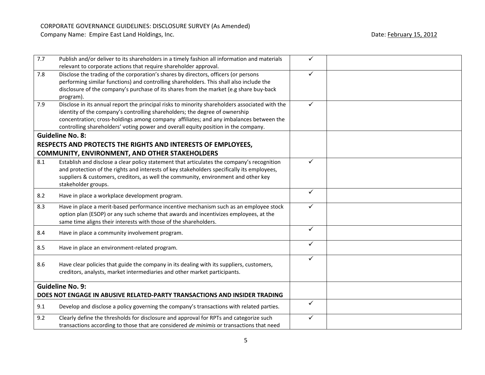| 7.7 | Publish and/or deliver to its shareholders in a timely fashion all information and materials   | $\checkmark$ |  |
|-----|------------------------------------------------------------------------------------------------|--------------|--|
|     | relevant to corporate actions that require shareholder approval.                               |              |  |
| 7.8 | Disclose the trading of the corporation's shares by directors, officers (or persons            | ✓            |  |
|     | performing similar functions) and controlling shareholders. This shall also include the        |              |  |
|     | disclosure of the company's purchase of its shares from the market (e.g share buy-back         |              |  |
|     | program).                                                                                      |              |  |
| 7.9 | Disclose in its annual report the principal risks to minority shareholders associated with the | $\checkmark$ |  |
|     | identity of the company's controlling shareholders; the degree of ownership                    |              |  |
|     | concentration; cross-holdings among company affiliates; and any imbalances between the         |              |  |
|     | controlling shareholders' voting power and overall equity position in the company.             |              |  |
|     | <b>Guideline No. 8:</b>                                                                        |              |  |
|     | RESPECTS AND PROTECTS THE RIGHTS AND INTERESTS OF EMPLOYEES,                                   |              |  |
|     | <b>COMMUNITY, ENVIRONMENT, AND OTHER STAKEHOLDERS</b>                                          |              |  |
| 8.1 | Establish and disclose a clear policy statement that articulates the company's recognition     | $\checkmark$ |  |
|     | and protection of the rights and interests of key stakeholders specifically its employees,     |              |  |
|     | suppliers & customers, creditors, as well the community, environment and other key             |              |  |
|     | stakeholder groups.                                                                            |              |  |
|     |                                                                                                | $\checkmark$ |  |
| 8.2 | Have in place a workplace development program.                                                 |              |  |
| 8.3 | Have in place a merit-based performance incentive mechanism such as an employee stock          | $\checkmark$ |  |
|     | option plan (ESOP) or any such scheme that awards and incentivizes employees, at the           |              |  |
|     | same time aligns their interests with those of the shareholders.                               |              |  |
| 8.4 | Have in place a community involvement program.                                                 | $\checkmark$ |  |
|     |                                                                                                |              |  |
| 8.5 | Have in place an environment-related program.                                                  | $\checkmark$ |  |
|     |                                                                                                |              |  |
| 8.6 | Have clear policies that guide the company in its dealing with its suppliers, customers,       | ✓            |  |
|     | creditors, analysts, market intermediaries and other market participants.                      |              |  |
|     |                                                                                                |              |  |
|     | <b>Guideline No. 9:</b>                                                                        |              |  |
|     | DOES NOT ENGAGE IN ABUSIVE RELATED-PARTY TRANSACTIONS AND INSIDER TRADING                      |              |  |
|     |                                                                                                | $\checkmark$ |  |
| 9.1 | Develop and disclose a policy governing the company's transactions with related parties.       |              |  |
|     |                                                                                                |              |  |
| 9.2 | Clearly define the thresholds for disclosure and approval for RPTs and categorize such         | ✓            |  |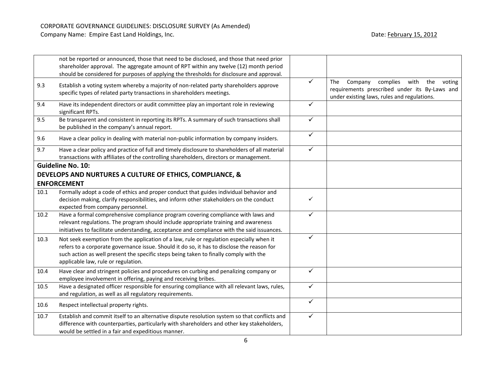|      | not be reported or announced, those that need to be disclosed, and those that need prior<br>shareholder approval. The aggregate amount of RPT within any twelve (12) month period<br>should be considered for purposes of applying the thresholds for disclosure and approval.                                        |              |                                                                                                                                            |
|------|-----------------------------------------------------------------------------------------------------------------------------------------------------------------------------------------------------------------------------------------------------------------------------------------------------------------------|--------------|--------------------------------------------------------------------------------------------------------------------------------------------|
| 9.3  | Establish a voting system whereby a majority of non-related party shareholders approve<br>specific types of related party transactions in shareholders meetings.                                                                                                                                                      | $\checkmark$ | Company<br>complies with the voting<br>The<br>requirements prescribed under its By-Laws and<br>under existing laws, rules and regulations. |
| 9.4  | Have its independent directors or audit committee play an important role in reviewing<br>significant RPTs.                                                                                                                                                                                                            | ✓            |                                                                                                                                            |
| 9.5  | Be transparent and consistent in reporting its RPTs. A summary of such transactions shall<br>be published in the company's annual report.                                                                                                                                                                             | $\checkmark$ |                                                                                                                                            |
| 9.6  | Have a clear policy in dealing with material non-public information by company insiders.                                                                                                                                                                                                                              | $\checkmark$ |                                                                                                                                            |
| 9.7  | Have a clear policy and practice of full and timely disclosure to shareholders of all material<br>transactions with affiliates of the controlling shareholders, directors or management.                                                                                                                              | $\checkmark$ |                                                                                                                                            |
|      | <b>Guideline No. 10:</b><br>DEVELOPS AND NURTURES A CULTURE OF ETHICS, COMPLIANCE, &<br><b>ENFORCEMENT</b>                                                                                                                                                                                                            |              |                                                                                                                                            |
| 10.1 | Formally adopt a code of ethics and proper conduct that guides individual behavior and<br>decision making, clarify responsibilities, and inform other stakeholders on the conduct<br>expected from company personnel.                                                                                                 | $\checkmark$ |                                                                                                                                            |
| 10.2 | Have a formal comprehensive compliance program covering compliance with laws and<br>relevant regulations. The program should include appropriate training and awareness<br>initiatives to facilitate understanding, acceptance and compliance with the said issuances.                                                | $\checkmark$ |                                                                                                                                            |
| 10.3 | Not seek exemption from the application of a law, rule or regulation especially when it<br>refers to a corporate governance issue. Should it do so, it has to disclose the reason for<br>such action as well present the specific steps being taken to finally comply with the<br>applicable law, rule or regulation. | ✓            |                                                                                                                                            |
| 10.4 | Have clear and stringent policies and procedures on curbing and penalizing company or<br>employee involvement in offering, paying and receiving bribes.                                                                                                                                                               | $\checkmark$ |                                                                                                                                            |
| 10.5 | Have a designated officer responsible for ensuring compliance with all relevant laws, rules,<br>and regulation, as well as all regulatory requirements.                                                                                                                                                               | $\checkmark$ |                                                                                                                                            |
| 10.6 | Respect intellectual property rights.                                                                                                                                                                                                                                                                                 | $\checkmark$ |                                                                                                                                            |
| 10.7 | Establish and commit itself to an alternative dispute resolution system so that conflicts and<br>difference with counterparties, particularly with shareholders and other key stakeholders,<br>would be settled in a fair and expeditious manner.                                                                     | $\checkmark$ |                                                                                                                                            |